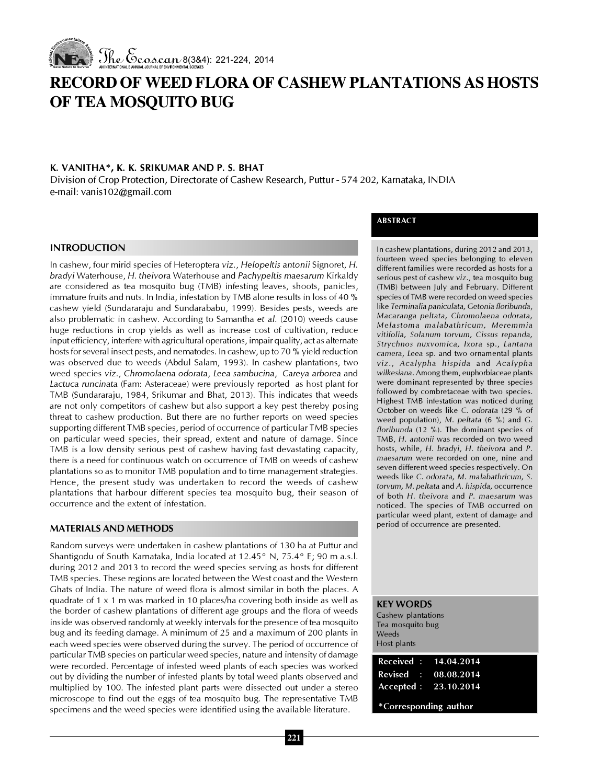

# RECORD OF WEED FLORA OF CASHEW PLANTATIONS AS HOSTS OF TEA MOSQUITO BUG

# K. VANITHA\*, K. K. SRIKUMAR AND P. S. BHAT

Division of Crop Protection, Directorate of Cashew Research, Puttur - 574 202, Karnataka, INDIA e-mail: vanis102@gmail.com

## INTRODUCTION

In cashew, four mirid species of Heteroptera viz., Helopeltis antonii Signoret, H. bradyi Waterhouse, H. theivora Waterhouse and Pachypeltis maesarum Kirkaldy are considered as tea mosquito bug (TMB) infesting leaves, shoots, panicles, immature fruits and nuts. In India, infestation by TMB alone results in loss of 40 % cashew yield (Sundararaju and Sundarababu, 1999). Besides pests, weeds are also problematic in cashew. According to Samantha et al. (2010) weeds cause huge reductions in crop yields as well as increase cost of cultivation, reduce input efficiency, interfere with agricultural operations, impair quality, act as alternate hosts for several insect pests, and nematodes. In cashew, up to 70 % yield reduction was observed due to weeds (Abdul Salam, 1993). In cashew plantations, two weed species viz., Chromolaena odorata, Leea sambucina, Careya arborea and Lactuca runcinata (Fam: Asteraceae) were previously reported as host plant for TMB (Sundararaju, 1984, Srikumar and Bhat, 2013). This indicates that weeds are not only competitors of cashew but also support a key pest thereby posing threat to cashew production. But there are no further reports on weed species supporting different TMB species, period of occurrence of particular TMB species on particular weed species, their spread, extent and nature of damage. Since TMB is a low density serious pest of cashew having fast devastating capacity, there is a need for continuous watch on occurrence of TMB on weeds of cashew plantations so as to monitor TMB population and to time management strategies. Hence, the present study was undertaken to record the weeds of cashew plantations that harbour different species tea mosquito bug, their season of occurrence and the extent of infestation.

## MATERIALS AND METHODS

Random surveys were undertaken in cashew plantations of 130 ha at Puttur and Shantigodu of South Karnataka, India located at 12.45° N, 75.4° E; 90 m a.s.l. during 2012 and 2013 to record the weed species serving as hosts for different TMB species. These regions are located between the West coast and the Western Ghats of India. The nature of weed flora is almost similar in both the places. A quadrate of 1 x 1 m was marked in 10 places/ha covering both inside as well as the border of cashew plantations of different age groups and the flora of weeds inside was observed randomly at weekly intervals for the presence of tea mosquito bug and its feeding damage. A minimum of 25 and a maximum of 200 plants in each weed species were observed during the survey. The period of occurrence of particular TMB species on particular weed species, nature and intensity of damage were recorded. Percentage of infested weed plants of each species was worked out by dividing the number of infested plants by total weed plants observed and multiplied by 100. The infested plant parts were dissected out under a stereo microscope to find out the eggs of tea mosquito bug. The representative TMB specimens and the weed species were identified using the available literature.

# ABSTRACT

In cashew plantations, during 2012 and 2013, fourteen weed species belonging to eleven different families were recorded as hosts for a serious pest of cashew viz., tea mosquito bug (TMB) between July and February. Different species of TMB were recorded on weed species like Terminalia paniculata, Getonia floribunda, Macaranga peltata, Chromolaena odorata, Melastoma malabathricum, Meremmia vitifolia, Solanum torvum, Cissus repanda, Strychnos nuxvomica, Ixora sp., Lantana camera, Leea sp. and two ornamental plants viz., Acalypha hispida and Acalypha wilkesiana. Among them, euphorbiaceae plants were dominant represented by three species followed by combretaceae with two species. Highest TMB infestation was noticed during October on weeds like C. odorata (29 % of weed population), M. peltata (6 %) and G. floribunda (12 %). The dominant species of TMB, H. antonii was recorded on two weed hosts, while, H. bradyi, H. theivora and P. maesarum were recorded on one, nine and seven different weed species respectively. On weeds like C. odorata, M. malabathricum, S. torvum, M. peltata and A. hispida, occurrence of both H. theivora and P. maesarum was noticed. The species of TMB occurred on particular weed plant, extent of damage and period of occurrence are presented.

#### KEY WORDS

Cashew plantations Tea mosquito bug Weeds Host plants

| Received: 14.04.2014  |  |  |  |  |
|-----------------------|--|--|--|--|
| Revised : 08.08.2014  |  |  |  |  |
| Accepted: 23.10.2014  |  |  |  |  |
| *Corresponding author |  |  |  |  |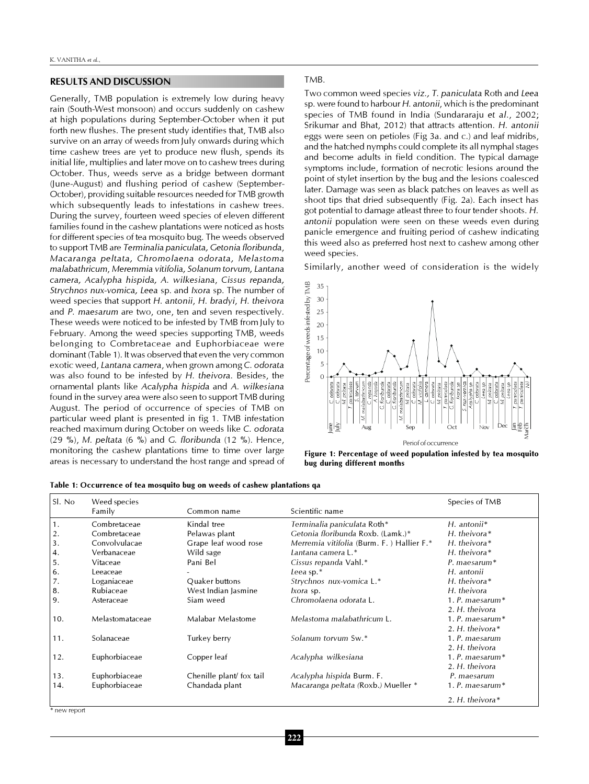### RESULTS AND DISCUSSION

Generally, TMB population is extremely low during heavy rain (South-West monsoon) and occurs suddenly on cashew at high populations during September-October when it put forth new flushes. The present study identifies that, TMB also survive on an array of weeds from July onwards during which time cashew trees are yet to produce new flush, spends its initial life, multiplies and later move on to cashew trees during October. Thus, weeds serve as a bridge between dormant (June-August) and flushing period of cashew (September-October), providing suitable resources needed for TMB growth which subsequently leads to infestations in cashew trees. During the survey, fourteen weed species of eleven different families found in the cashew plantations were noticed as hosts for different species of tea mosquito bug. The weeds observed to support TMB are Terminalia paniculata, Getonia floribunda, Macaranga peltata, Chromolaena odorata, Melastoma malabathricum, Meremmia vitifolia, Solanum torvum, Lantana camera, Acalypha hispida, A. wilkesiana, Cissus repanda, Strychnos nux-vomica, Leea sp. and Ixora sp. The number of weed species that support H. antonii, H. bradyi, H. theivora and P. maesarum are two, one, ten and seven respectively. These weeds were noticed to be infested by TMB from July to February. Among the weed species supporting TMB, weeds belonging to Combretaceae and Euphorbiaceae were dominant (Table 1). It was observed that even the very common exotic weed, Lantana camera, when grown among C. odorata was also found to be infested by H. theivora. Besides, the ornamental plants like Acalypha hispida and A. wilkesiana found in the survey area were also seen to support TMB during August. The period of occurrence of species of TMB on particular weed plant is presented in fig 1. TMB infestation reached maximum during October on weeds like C. odorata (29 %), M. peltata (6 %) and G. floribunda (12 %). Hence, monitoring the cashew plantations time to time over large areas is necessary to understand the host range and spread of

#### TMB.

Two common weed species viz., T. paniculata Roth and Leea sp. were found to harbour H. antonii, which is the predominant species of TMB found in India (Sundararaju et al., 2002; Srikumar and Bhat, 2012) that attracts attention. H. antonii eggs were seen on petioles (Fig 3a. and c.) and leaf midribs, and the hatched nymphs could complete its all nymphal stages and become adults in field condition. The typical damage symptoms include, formation of necrotic lesions around the point of stylet insertion by the bug and the lesions coalesced later. Damage was seen as black patches on leaves as well as shoot tips that dried subsequently (Fig. 2a). Each insect has got potential to damage atleast three to four tender shoots. H. antonii population were seen on these weeds even during panicle emergence and fruiting period of cashew indicating this weed also as preferred host next to cashew among other weed species.

Similarly, another weed of consideration is the widely



Figure 1: Percentage of weed population infested by tea mosquito bug during different months

| Sl. No | Weed species    |                          |                                           | Species of TMB       |
|--------|-----------------|--------------------------|-------------------------------------------|----------------------|
|        | Family          | Common name              | Scientific name                           |                      |
| 1.     | Combretaceae    | Kindal tree              | Terminalia paniculata Roth*               | $H.$ antonii*        |
| 2.     | Combretaceae    | Pelawas plant            | Getonia floribunda Roxb. (Lamk.)*         | $H.$ the ivora $*$   |
| 3.     | Convolvulacae   | Grape leaf wood rose     | Merremia vitifolia (Burm. F.) Hallier F.* | $H.$ the ivora $*$   |
| 4.     | Verbanaceae     | Wild sage                | Lantana camera L.*                        | $H.$ the ivora $*$   |
| 5.     | Vitaceae        | Pani Bel                 | Cissus repanda Vahl.*                     | $P.$ maesarum $*$    |
| 6.     | Leeaceae        |                          | Leea sp. $*$                              | H. antonii           |
| 7.     | Loganiaceae     | Quaker buttons           | Strychnos nux-vomica L.*                  | $H.$ the ivora $*$   |
| 8.     | Rubiaceae       | West Indian Jasmine      | <i>lxora</i> sp.                          | H. theivora          |
| 9.     | Asteraceae      | Siam weed                | Chromolaena odorata L.                    | 1. $P.$ maesarum $*$ |
|        |                 |                          |                                           | 2. H. theivora       |
| 10.    | Melastomataceae | Malabar Melastome        | Melastoma malabathricum L.                | 1. $P.$ maesarum $*$ |
|        |                 |                          |                                           | 2. H. theivora*      |
| 11.    | Solanaceae      | Turkey berry             | Solanum torvum Sw.*                       | 1. P. maesarum       |
|        |                 |                          |                                           | 2. H. theivora       |
| 12.    | Euphorbiaceae   | Copper leaf              | Acalypha wilkesiana                       | 1. $P.$ maesarum $*$ |
|        |                 |                          |                                           | 2. H. theivora       |
| 13.    | Euphorbiaceae   | Chenille plant/ fox tail | Acalypha hispida Burm. F.                 | P. maesarum          |
| 14.    | Euphorbiaceae   | Chandada plant           | Macaranga peltata (Roxb.) Mueller *       | 1. $P.$ maesarum $*$ |
|        |                 |                          |                                           | 2. H. theivora $*$   |

Table 1: Occurrence of tea mosquito bug on weeds of cashew plantations qa

\* new report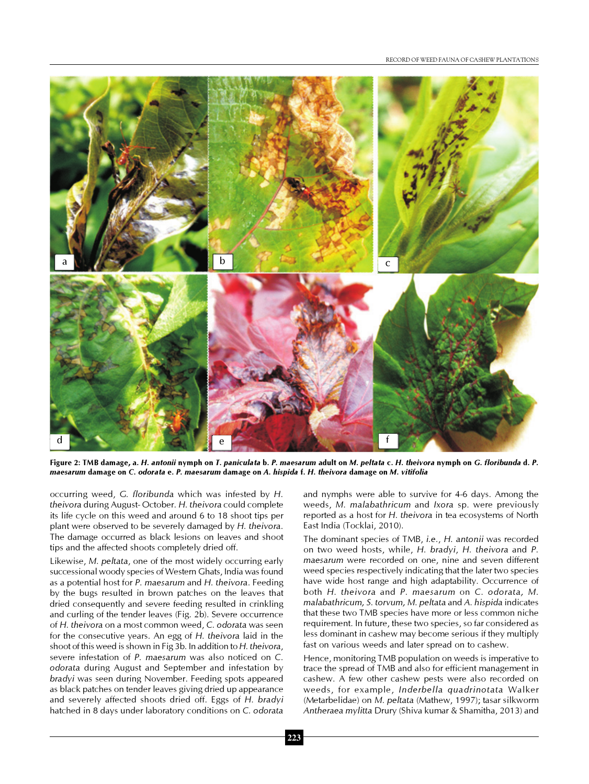

Figure 2: TMB damage, a. H. antonii nymph on T. paniculata b. P. maesarum adult on M. peltata c. H. theivora nymph on G. floribunda d. P. maesarum damage on C. odorata e. P. maesarum damage on A. hispida f. H. theivora damage on M. vitifolia

occurring weed, G. floribunda which was infested by H. theivora during August- October. H. theivora could complete its life cycle on this weed and around 6 to 18 shoot tips per plant were observed to be severely damaged by H. theivora. The damage occurred as black lesions on leaves and shoot tips and the affected shoots completely dried off.

Likewise, M. peltata, one of the most widely occurring early successional woody species of Western Ghats, India was found as a potential host for P. maesarum and H. theivora. Feeding by the bugs resulted in brown patches on the leaves that dried consequently and severe feeding resulted in crinkling and curling of the tender leaves (Fig. 2b). Severe occurrence of H. theivora on a most common weed, C. odorata was seen for the consecutive years. An egg of H. theivora laid in the shoot of this weed is shown in Fig 3b. In addition to H. theivora, severe infestation of P. maesarum was also noticed on C. odorata during August and September and infestation by bradyi was seen during November. Feeding spots appeared as black patches on tender leaves giving dried up appearance and severely affected shoots dried off. Eggs of H. bradyi hatched in 8 days under laboratory conditions on C. odorata and nymphs were able to survive for 4-6 days. Among the weeds, M. malabathricum and Ixora sp. were previously reported as a host for H. theivora in tea ecosystems of North East India (Tocklai, 2010).

The dominant species of TMB, i.e., H. antonii was recorded on two weed hosts, while, H. bradyi, H. theivora and P. maesarum were recorded on one, nine and seven different weed species respectively indicating that the later two species have wide host range and high adaptability. Occurrence of both H. theivora and P. maesarum on C. odorata, M. malabathricum, S. torvum, M. peltata and A. hispida indicates that these two TMB species have more or less common niche requirement. In future, these two species, so far considered as less dominant in cashew may become serious if they multiply fast on various weeds and later spread on to cashew.

Hence, monitoring TMB population on weeds is imperative to trace the spread of TMB and also for efficient management in cashew. A few other cashew pests were also recorded on weeds, for example, Inderbella quadrinotata Walker (Metarbelidae) on M. peltata (Mathew, 1997); tasar silkworm Antheraea mylitta Drury (Shiva kumar & Shamitha, 2013) and